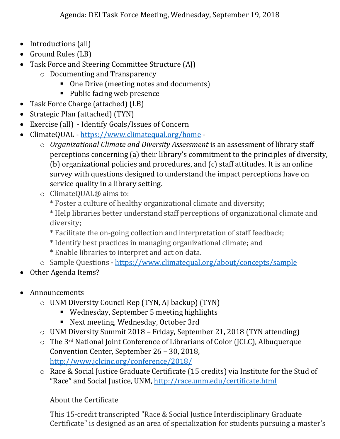- Introductions (all)
- Ground Rules (LB)
- Task Force and Steering Committee Structure (AJ)
	- o Documenting and Transparency
		- One Drive (meeting notes and documents)
		- Public facing web presence
- Task Force Charge (attached) (LB)
- Strategic Plan (attached) (TYN)
- Exercise (all) Identify Goals/Issues of Concern
- ClimateQUAL <https://www.climatequal.org/home>
	- o *Organizational Climate and Diversity Assessment* is an assessment of library staff perceptions concerning (a) their library's commitment to the principles of diversity, (b) organizational policies and procedures, and (c) staff attitudes. It is an online survey with questions designed to understand the impact perceptions have on service quality in a library setting.
	- o ClimateQUAL® aims to:
		- \* Foster a culture of healthy organizational climate and diversity;
		- \* Help libraries better understand staff perceptions of organizational climate and diversity;
		- \* Facilitate the on-going collection and interpretation of staff feedback;
		- \* Identify best practices in managing organizational climate; and
		- \* Enable libraries to interpret and act on data.
	- o Sample Questions <https://www.climatequal.org/about/concepts/sample>
- Other Agenda Items?
- Announcements
	- o UNM Diversity Council Rep (TYN, AJ backup) (TYN)
		- Wednesday, September 5 meeting highlights
		- Next meeting, Wednesday, October 3rd
	- o UNM Diversity Summit 2018 Friday, September 21, 2018 (TYN attending)
	- o The 3rd National Joint Conference of Librarians of Color (JCLC), Albuquerque Convention Center, September 26 – 30, 2018, <http://www.jclcinc.org/conference/2018/>
	- o Race & Social Justice Graduate Certificate (15 credits) via Institute for the Stud of "Race" and Social Justice, UNM, <http://race.unm.edu/certificate.html>

About the Certificate

This 15-credit transcripted "Race & Social Justice Interdisciplinary Graduate Certificate" is designed as an area of specialization for students pursuing a master's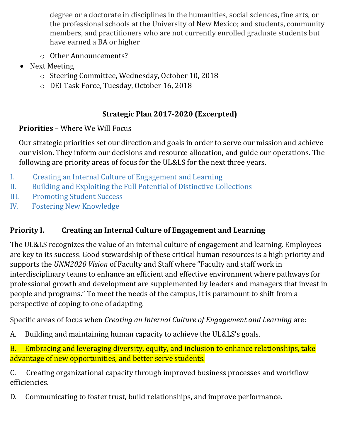degree or a doctorate in disciplines in the humanities, social sciences, fine arts, or the professional schools at the University of New Mexico; and students, community members, and practitioners who are not currently enrolled graduate students but have earned a BA or higher

- o Other Announcements?
- Next Meeting
	- o Steering Committee, Wednesday, October 10, 2018
	- o DEI Task Force, Tuesday, October 16, 2018

# **Strategic Plan 2017-2020 (Excerpted)**

# **Priorities** – Where We Will Focus

Our strategic priorities set our direction and goals in order to serve our mission and achieve our vision. They inform our decisions and resource allocation, and guide our operations. The following are priority areas of focus for the UL&LS for the next three years.

- I. Creating an Internal Culture of Engagement and Learning
- II. Building and Exploiting the Full Potential of Distinctive Collections
- III. Promoting Student Success
- IV. Fostering New Knowledge

# **Priority I. Creating an Internal Culture of Engagement and Learning**

The UL&LS recognizes the value of an internal culture of engagement and learning. Employees are key to its success. Good stewardship of these critical human resources is a high priority and supports the *UNM2020 Vision* of Faculty and Staff where "Faculty and staff work in interdisciplinary teams to enhance an efficient and effective environment where pathways for professional growth and development are supplemented by leaders and managers that invest in people and programs." To meet the needs of the campus, it is paramount to shift from a perspective of coping to one of adapting.

Specific areas of focus when *Creating an Internal Culture of Engagement and Learning* are:

A. Building and maintaining human capacity to achieve the UL&LS's goals.

B. Embracing and leveraging diversity, equity, and inclusion to enhance relationships, take advantage of new opportunities, and better serve students.

C. Creating organizational capacity through improved business processes and workflow efficiencies.

D. Communicating to foster trust, build relationships, and improve performance.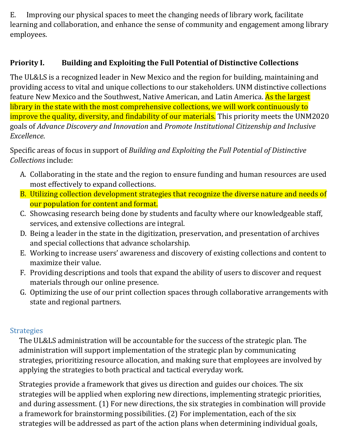E. Improving our physical spaces to meet the changing needs of library work, facilitate learning and collaboration, and enhance the sense of community and engagement among library employees.

## **Priority I. Building and Exploiting the Full Potential of Distinctive Collections**

The UL&LS is a recognized leader in New Mexico and the region for building, maintaining and providing access to vital and unique collections to our stakeholders. UNM distinctive collections feature New Mexico and the Southwest, Native American, and Latin America. As the largest library in the state with the most comprehensive collections, we will work continuously to improve the quality, diversity, and findability of our materials. This priority meets the UNM2020 goals of *Advance Discovery and Innovation* and *Promote Institutional Citizenship and Inclusive Excellence*.

Specific areas of focus in support of *Building and Exploiting the Full Potential of Distinctive Collections* include:

- A. Collaborating in the state and the region to ensure funding and human resources are used most effectively to expand collections.
- B. Utilizing collection development strategies that recognize the diverse nature and needs of our population for content and format.
- C. Showcasing research being done by students and faculty where our knowledgeable staff, services, and extensive collections are integral.
- D. Being a leader in the state in the digitization, preservation, and presentation of archives and special collections that advance scholarship.
- E. Working to increase users' awareness and discovery of existing collections and content to maximize their value.
- F. Providing descriptions and tools that expand the ability of users to discover and request materials through our online presence.
- G. Optimizing the use of our print collection spaces through collaborative arrangements with state and regional partners.

#### **Strategies**

The UL&LS administration will be accountable for the success of the strategic plan. The administration will support implementation of the strategic plan by communicating strategies, prioritizing resource allocation, and making sure that employees are involved by applying the strategies to both practical and tactical everyday work.

Strategies provide a framework that gives us direction and guides our choices. The six strategies will be applied when exploring new directions, implementing strategic priorities, and during assessment. (1) For new directions, the six strategies in combination will provide a framework for brainstorming possibilities. (2) For implementation, each of the six strategies will be addressed as part of the action plans when determining individual goals,